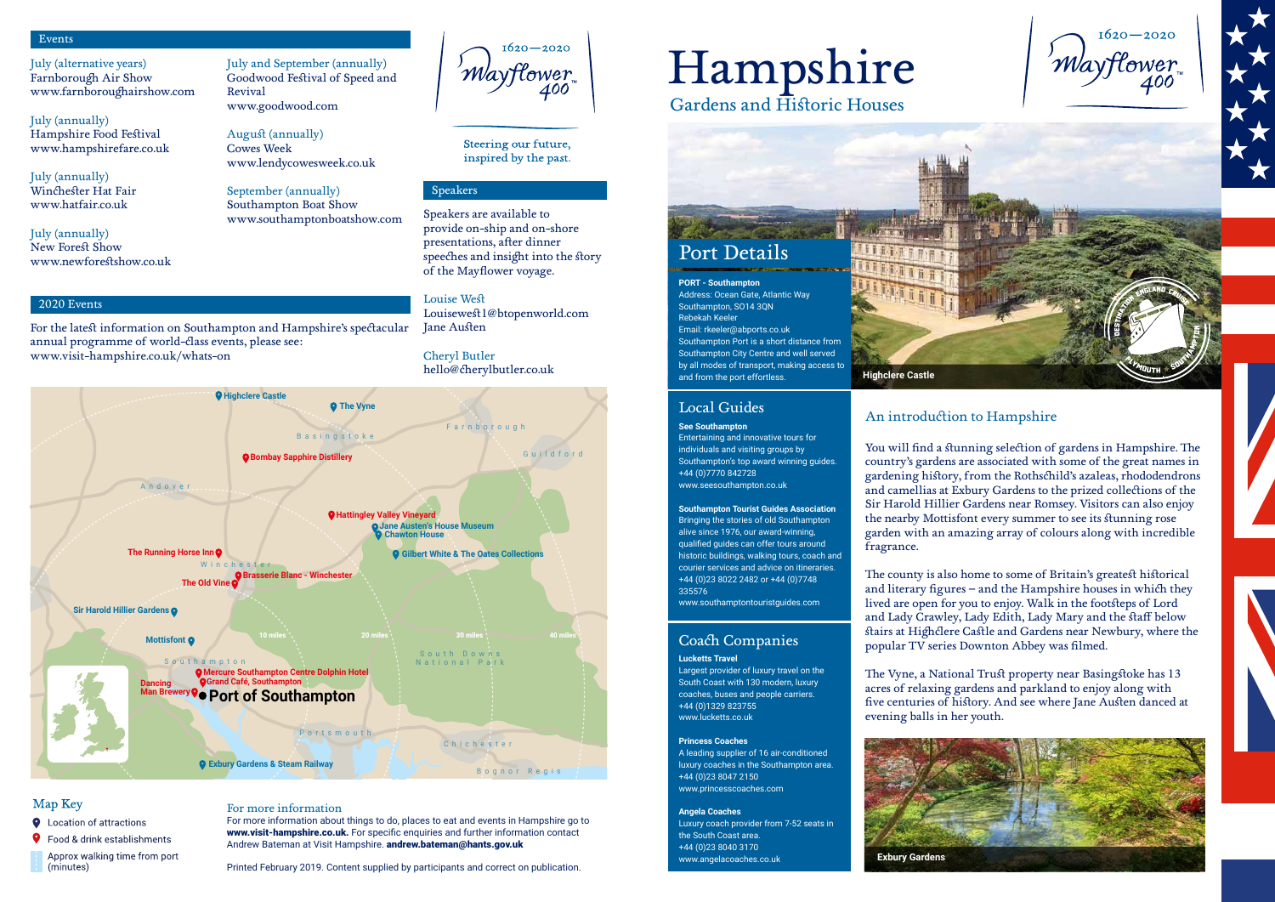**Highclere Castle**

Gardens and Historic Houses

# Hampshire

### Local Guides

### Coach Companies

#### **See Southampton**

Entertaining and innovative tours for individuals and visiting groups by Southampton's top award winning guides. +44 (0)7770 842728 www.seesouthampton.co.uk

**Southampton Tourist Guides Association**  Bringing the stories of old Southampton alive since 1976, our award-winning, qualified guides can offer tours around historic buildings, walking tours, coach and courier services and advice on itineraries. +44 (0)23 8022 2482 or +44 (0)7748 335576



www.southamptontouristguides.com

**Lucketts Travel**

Largest provider of luxury travel on the South Coast with 130 modern, luxury coaches, buses and people carriers. +44 (0)1329 823755 www.lucketts.co.uk

#### **Princess Coaches**

A leading supplier of 16 air-conditioned luxury coaches in the Southampton area. +44 (0)23 8047 2150 www.princesscoaches.com

#### **Angela Coaches**

Luxury coach provider from 7-52 seats in the South Coast area. +44 (0)23 8040 3170 www.angelacoaches.co.uk

Address: Ocean Gate, Atlantic Way Southampton, SO14 3QN Rebekah Keeler Email: rkeeler@abports.co.uk Southampton Port is a short distance from Southampton City Centre and well served by all modes of transport, making access to and from the port effortless.

### An introduction to Hampshire

You will find a stunning selection of gardens in Hampshire. The country's gardens are associated with some of the great names in gardening history, from the Rothschild's azaleas, rhododendrons and camellias at Exbury Gardens to the prized collections of the Sir Harold Hillier Gardens near Romsey. Visitors can also enjoy the nearby Mottisfont every summer to see its stunning rose garden with an amazing array of colours along with incredible fragrance.

For more information about things to do, places to eat and events in Hampshire go to www.visit-hampshire.co.uk. For specific enquiries and further information contact Andrew Bateman at Visit Hampshire. andrew.bateman@hants.gov.uk

The county is also home to some of Britain's greatest historical and literary figures – and the Hampshire houses in which they lived are open for you to enjoy. Walk in the footsteps of Lord and Lady Crawley, Lady Edith, Lady Mary and the staff below stairs at Highclere Castle and Gardens near Newbury, where the popular TV series Downton Abbey was filmed.

The Vyne, a National Trust property near Basingstoke has 13 acres of relaxing gardens and parkland to enjoy along with five centuries of history. And see where Jane Austen danced at evening balls in her youth.



### Events

2020 Events

### Speakers

July (alternative years) Farnborough Air Show www.farnboroughairshow.com

July (annually) Hampshire Food Festival www.hampshirefare.co.uk

July (annually) Winchester Hat Fair www.hatfair.co.uk

July (annually) New Forest Show www.newforestshow.co.uk July and September (annually) Goodwood Festival of Speed and Revival www.goodwood.com

August (annually) Cowes Week www.lendycowesweek.co.uk

September (annually) Southampton Boat Show www.southamptonboatshow.com

 $1620 - 2020$ 'Mayflower 400

Steering our future, inspired by the past.

For the latest information on Southampton and Hampshire's spectacular

annual programme of world-class events, please see:

www.visit-hampshire.co.uk/whats-on

Speakers are available to provide on-ship and on-shore presentations, after dinner speeches and insight into the story of the Mayflower voyage.

Louise West Louisewest1@btopenworld.com Jane Austen

Cheryl Butler hello@cherylbutler.co.uk

#### For more information

Printed February 2019. Content supplied by participants and correct on publication.



### Map Key

#### **Q** Location of attractions

**9** Food & drink establishments

Approx walking time from port (minutes)

**Exbury Gardens**

 $1620 - 2020$ 'Mayflower 400